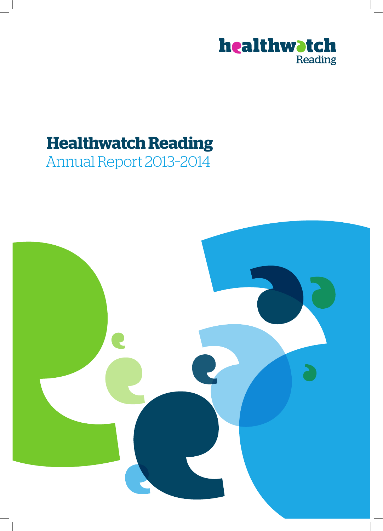

## **Healthwatch Reading**

Annual Report 2013–2014

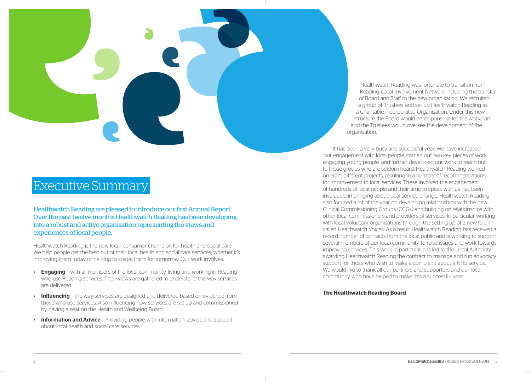# Executive Summary

Healthwatch Reading are pleased to introduce our first Annual Report. Over the past twelve months Healthwatch Reading has been developing into a robust and active organisation representing the views and experiences of local people.

Healthwatch Reading is the new local 'consumer champion for health and social care'. We help people get the best out of their local health and social care services; whether it's improving them today or helping to shape them for tomorrow. Our work involves:

- Engaging with all members of the local community, living and working in Reading who use Reading services. Their views are gathered to understand the way services are delivered
- **Influencing** the way services are designed and delivered based on evidence from those who use services. Also influencing how services are set up and commissioned by having a seat on the Health and Wellbeing Board
- **Information and Advice** Providing people with information, advice and support about local health and social care services

Healthwatch Reading was fortunate to transition from Reading Local Involvement Network including the transfer of Board and Staff to the new organisation. We recruited a group of Trustees and set up Healthwatch Reading as a Charitable Incorporated Organisation. Under this new structure the Board would be responsible for the workplan and the Trustees would oversee the development of the organisation.

It has been a very busy and successful year. We have increased our engagement with local people, carried out two key pieces of work engaging young people, and further developed our work to reach out to those groups who are seldom heard. Healthwatch Reading worked on eight different projects, resulting in a number of recommendations for improvement to local services. These involved the engagement of hundreds of local people and their time to speak with us has been invaluable in bringing about local service change. Healthwatch Reading also focused a lot of the year on developing relationships with the new Clinical Commissioning Groups (CCGs) and building on relationships with other local commissioners and providers of services. In particular working with local voluntary organisations through the setting up of a new forum called Healthwatch Voices. As a result Healthwatch Reading has received a record number of contacts from the local public and is working to support several members of our local community to raise issues and work towards improving services. This work in particular has led to the Local Authority awarding Healthwatch Reading the contract to manage and run advocacy support for those who wish to make a complaint about a NHS service. We would like to thank all our partners and supporters and our local community who have helped to make this a successful year.

#### **The Healthwatch Reading Board**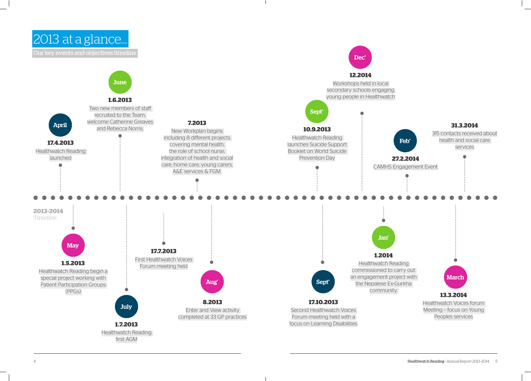2013 at a glance…

Our key events and objectives timeline

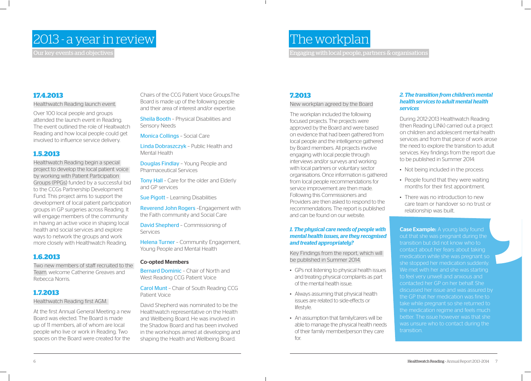## 2013 - a year in review

Our key events and objectives

#### **17.4.2013**

Healthwatch Reading launch event.

Over 100 local people and groups attended the launch event in Reading. The event outlined the role of Healtwatch Reading and how local people could get involved to influence service delivery.

#### **1.5.2013**

Two new members of staff recruited to the Team, welcome Catherine Greaves and Rebecca Norris.

Healthwatch Reading begin a special project to develop the local patient voice by working with Patient Participation Groups (PPGs) funded by a successful bid to the CCGs Partnership Development Fund. This project aims to support the development of local patient participation groups in GP surgeries across Reading. It will engage members of the community in having an active voice in shaping local health and social services and explore ways to network the groups and work more closely with Healthwatch Reading.

Linda Dobraszczyk - Public Health and Mental Health

**Tony Hall - Care for the older and Elderly** and GP services

David Shepherd – Commissioning of **Services** 

#### **1.6.2013**

Helena Turner - Community Engagement, Young People and Mental Health

#### **1.7.2013**

#### Healthwatch Reading first AGM.

At the first Annual General Meeting a new Board was elected. The Board is made up of 11 members, all of whom are local people who live or work in Reading. Two spaces on the Board were created for the

Chairs of the CCG Patient Voice Groups.The Board is made up of the following people and their area of interest and/or expertise:

Sheila Booth – Physical Disabilities and Sensory Needs

Monica Collings – Social Care

Douglas Findlay – Young People and Pharmaceutical Services

Sue Pigott – Learning Disabilities

Reverend John Rogers –Engagement with the Faith community and Social Care

#### Co-opted Members

Bernard Dominic – Chair of North and West Reading CCG Patient Voice

Carol Munt – Chair of South Reading CCG Patient Voice

- Not being included in the process
- People found that they were waiting months for their first appointment.
- There was no introduction to new care team or handover so no trust or relationship was built.

David Shepherd was nominated to be the Healthwatch representative on the Health and Wellbeing Board. He was involved in the Shadow Board and has been involved in the workshops aimed at developing and shaping the Health and Wellbeing Board.

#### **7.2013**

#### New workplan agreed by the Board

**Case Example:** A young lady found out that she was pregnant during the transition but did not know who to contact about her fears about taking medication while she was pregnant so she stopped her medication suddenly. We met with her and she was starting to feel very unwell and anxious and contacted her GP on her behalf. She discussed her issue and was assured by the GP that her medication was fine to take while pregnant so she returned to the medication regime and feels much better. The issue however was that she was unsure who to contact during the transition.

The workplan included the following focused projects. The projects were approved by the Board and were based on evidence that had been gathered from local people and the intelligence gathered by Board members. All projects involve engaging with local people through interviews and/or surveys and working with local partners or voluntary sector organisations. Once information is gathered from local people recommendations for service improvement are then made. Following this Commissioners and Providers are then asked to respond to the recommendations. The report is published and can be found on our website.

#### *1. The physical care needs of people with mental health issues, are they recognised and treated appropriately?*

Key Findings from the report, which will be published in Summer 2014.

- GPs not listening to physical health issues and treating physical complaints as part of the mental health issue.
- Always assuming that physical health issues are related to side-effects or lifestyle.
- An assumption that family/carers will be able to manage the physical health needs of their family member/person they care for.

#### *2. The transition from children's mental health services to adult mental health services*

During 2012-2013 Healthwatch Reading (then Reading LINk) carried out a project on children and adolescent mental health services and from that piece of work arose the need to explore the transition to adult services. Key findings from the report due to be published in Summer 2014:

## The workplan

Engaging with local people, partners & organisations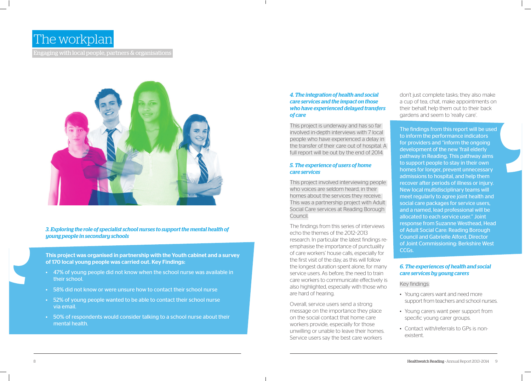## The workplan

Engaging with local people, partners & organisations



#### *4. The integration of health and social care services and the impact on those who have experienced delayed transfers of care*

This project is underway and has so far involved in-depth interviews with 7 local people who have experienced a delay in the transfer of their care out of hospital. A full report will be out by the end of 2014.

#### *5. The experience of users of home care services*

This project involved interviewing people who voices are seldom heard, in their homes about the services they receive. This was a partnership project with Adult Social Care services at Reading Borough Council.

don't just complete tasks; they also make a cup of tea, chat, make appointments on their behalf, help them out to their back gardens and seem to 'really care'.

The findings from this series of interviews echo the themes of the 2012–2013 research. In particular the latest findings reemphasise the importance of punctuality of care workers' house calls, especially for the first visit of the day, as this will follow the longest duration spent alone, for many service users. As before, the need to train care workers to communicate effectively is also highlighted, especially with those who are hard of hearing.

Overall, service users send a strong message on the importance they place on the social contact that home care workers provide, especially for those unwilling or unable to leave their homes. Service users say the best care workers

The findings from this report will be used to inform the performance indicators for providers and "inform the ongoing development of the new 'frail elderly pathway in Reading. This pathway aims to support people to stay in their own homes for longer, prevent unnecessary admissions to hospital, and help them recover after periods of illness or injury. New local multidisciplinary teams will meet regularly to agree joint health and social care packages for service users, and a named, lead professional will be allocated to each service user." Joint response from Suzanne Westhead, Head of Adult Social Care: Reading Borough Council and Gabrielle Alford, Director of Joint Commissioning: Berkshire West CCGs.

#### *6. The experiences of health and social care services by young carers*

Key findings:

- Young carers want and need more support from teachers and school nurses.
- Young carers want peer support from specific young carer groups.
- Contact with/referrals to GPs is nonexistent.

*3. Exploring the role of specialist school nurses to support the mental health of young people in secondary schools*

This project was organised in partnership with the Youth cabinet and a survey of 170 local young people was carried out. Key Findings:

- 47% of young people did not know when the school nurse was available in their school.
- 58% did not know or were unsure how to contact their school nurse
- 52% of young people wanted to be able to contact their school nurse via email.
- 50% of respondents would consider talking to a school nurse about their mental health.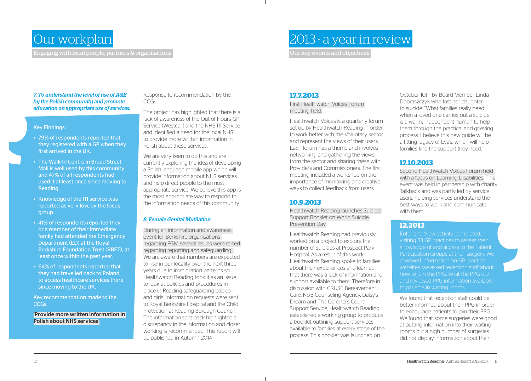## Our workplan

Engaging with local people, partners & organisations

#### **17.7.2013**

First Healthwatch Voices Forum meeting held.

Healthwatch Voices is a quarterly forum set up by Healthwatch Reading in order to work better with the Voluntary sector and represent the views of their users. Each forum has a theme and involves networking and gathering the views from the sector and sharing these with Providers and Commissioners. The first meeting included a workshop on the importance of monitoring and creative ways to collect feedback from users.

#### **10.9.2013**

Healthwatch Reading launches Suicide Support Booklet on World Suicide Prevention Day.

Healthwatch Reading had previously worked on a project to explore the number of suicides at Prospect Park Hospital. As a result of this work Healthwatch Reading spoke to families about their experiences and learned that there was a lack of information and support available to them. Therefore in discussion with CRUSE Bereavement Care, No.5 Counseling Agency, Daisy's Dream and The Coroners Court Support Service, Healthwatch Reading established a working group to produce a booklet outlining support services available to families at every stage of the process. This booklet was launched on



We found that reception staff could be better informed about their PPG in order to encourage patients to join their PPG. We found that some surgeries were good at putting information into their waiting rooms but a high number of surgeries did not display information about their

October 10th by Board Member Linda Dobraszczyk who lost her daughter to suicide. "What families really need when a loved one carries out a suicide is a warm, independent human to help them through the practical and grieving process. I believe this new guide will be a fitting legacy of Eva's, which will help families find the support they need."

### **17.10.2013**

Second Healthwatch Voices Forum held with a focus on Learning Disabilities. This event was held in partnership with charity Talkback and was partly led by service users, helping services understand the best ways to work and communicate with them.

#### **12.2013**

We are very keen to do this and are currently exploring the idea of developing a Polish-language mobile app which will provide information about NHS services and help direct people to the most appropriate service. We believe this app is the most appropriate way to respond to the information needs of this community.

> Enter and View activity completed, visiting 33 GP practices to assess their knowledge of and access to the Patient Participation Groups at their surgery. We reviewed information on GP practice websites, we asked reception staff about how to join the PPG, what the PPG did and reviewed PPG information available to patients in waiting rooms.

*7. To understand the level of use of A&E by the Polish community and promote education on appropriate use of services.*

#### Key Findings:

- 79% of respondents reported that they registered with a GP when they first arrived in the UK.
- The Walk-In Centre in Broad Street Mall is well used by this community and 47% of all respondents had used it at least once since moving to Reading.
- Knowledge of the 111 service was reported as very low, by the focus group.
- 41% of respondents reported they or a member of their immediate family had attended the Emergency Department (ED) at the Royal Berkshire Foundation Trust (RBFT), at least once within the past year.
- 64% of respondents reported that they had travelled back to Poland to access healthcare services there, since moving to the UK.

Key recommendation made to the CCGs:

'Provide more written information in Polish about NHS services'

Response to recommendation by the CCG:

The project has highlighted that there is a lack of awareness of the Out of Hours GP Service (Westcall) and the NHS 111 Service and identified a need for the local NHS to provide more written information in Polish about these services.

#### *8. Female Genital Mutilation*

During an information and awareness event for Berkshire organisations regarding FGM several issues were raised regarding reporting and safeguarding. We are aware that numbers are expected to rise in our locality over the next three years due to immigration patterns so Healthwatch Reading took it as an issue, to look at policies and procedures in place in Reading safeguarding babies and girls. Information requests were sent to Royal Berkshire Hospital and the Child Protection at Reading Borough Council. The information sent back highlighted a discrepancy in the information and closer working is recommended. This report will be published in Autumn 2014

## 2013 - a year in review Our key events and objectives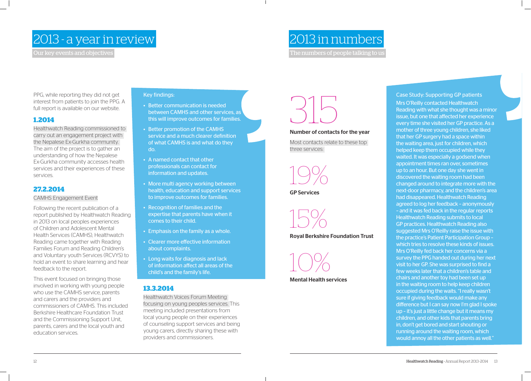## 2013 - a year in review

Our key events and objectives

## 2013 in numbers

The numbers of people talking to us

# 315

#### Number of contacts for the year

Most contacts relate to these top three services:

19%

GP Services

15%

#### Royal Berkshire Foundation Trust



Mental Health services

Case Study: Supporting GP patients Mrs O'Reilly contacted Healthwatch Reading with what she thought was a minor issue, but one that affected her experience every time she visited her GP practice. As a mother of three young children, she liked that her GP surgery had a space within the waiting area, just for children, which helped keep them occupied while they waited. It was especially a godsend when appointment times ran over, sometimes up to an hour. But one day she went in discovered the waiting room had been changed around to integrate more with the next-door pharmacy, and the children's area had disappeared. Healthwatch Reading agreed to log her feedback – anonymously – and it was fed back in the regular reports Healthwatch Reading submits to local GP practices. Healthwatch Reading also suggested Mrs O'Reilly raise the issue with the practice's Patient Participation Group – which tries to resolve these kinds of issues. Mrs O'Reilly fed back her concerns via a survey the PPG handed out during her next visit to her GP. She was surprised to find a few weeks later that a children's table and chairs and another toy had been set up in the waiting room to help keep children occupied during the waits. "I really wasn't sure if giving feedback would make any difference but I can say now I'm glad I spoke up – it's just a little change but it means my children, and other kids that parents bring in, don't get bored and start shouting or running around the waiting room, which would annoy all the other patients as well."

PPG, while reporting they did not get interest from patients to join the PPG. A full report is available on our website.

#### **1.2014**

Healthwatch Reading commissioned to carry out an engagement project with the Nepalese Ex-Gurkha community. The aim of the project is to gather an understanding of how the Nepalese Ex-Gurkha community accesses health services and their experiences of these services.

#### **27.2.2014**

CAMHS Engagement Event

Following the recent publication of a report published by Healthwatch Reading in 2013 on local peoples experiences of Children and Adolescent Mental Health Services (CAMHS), Healthwatch Reading came together with Reading Families Forum and Reading Children's and Voluntary youth Services (RCVYS) to hold an event to share learning and hear feedback to the report.

This event focused on bringing those involved in working with young people who use the CAMHS service, parents and carers and the providers and commissioners of CAMHS. This included Berkshire Healthcare Foundation Trust and the Commissioning Support Unit, parents, carers and the local youth and education services.

#### Key findings:

- Better communication is needed between CAMHS and other services, as this will improve outcomes for families.
- Better promotion of the CAMHS service and a much clearer definition of what CAMHS is and what do they do.
- A named contact that other professionals can contact for information and updates.
- More multi agency working between health, education and support services to improve outcomes for families.
- Recognition of families and the expertise that parents have when it comes to their child.
- Emphasis on the family as a whole.
- Clearer more effective information about complaints.
- Long waits for diagnosis and lack of information affect all areas of the child's and the family's life.

#### **13.3.2014**

Healthwatch Voices Forum Meeting focusing on young peoples services. This meeting included presentations from local young people on their experiences of counseling support services and being young carers, directly sharing these with providers and commissioners.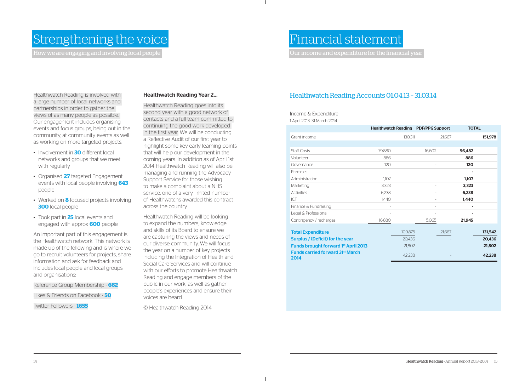## Strengthening the voice

How we are engaging and involving local people

## Financial statement

Our income and expenditure for the financial year

## Healthwatch Reading Accounts 01.04.13 – 31.03.14

Income & Expenditure 1 April 2013 -31 March 2014

|                                                 | <b>Healthwatch Reading PDF/PPG Support</b> |         |        |        | <b>TOTAL</b> |         |
|-------------------------------------------------|--------------------------------------------|---------|--------|--------|--------------|---------|
| Grant income                                    |                                            | 130,311 |        | 21,667 |              | 151,978 |
|                                                 |                                            |         |        |        |              |         |
| <b>Staff Costs</b>                              | 79,880                                     |         | 16,602 |        | 96,482       |         |
| Volunteer                                       | 886                                        |         |        |        | 886          |         |
| Governance                                      | 120                                        |         |        |        | 120          |         |
| Premises                                        |                                            |         |        |        |              |         |
| Administration                                  | 1,107                                      |         |        |        | 1,107        |         |
| Marketing                                       | 3,323                                      |         |        |        | 3,323        |         |
| Activities                                      | 6,238                                      |         |        |        | 6,238        |         |
| ICT                                             | 1,440                                      |         |        |        | 1,440        |         |
| Finance & Fundraising                           |                                            |         |        |        |              |         |
| Legal & Professional                            |                                            |         |        |        |              |         |
| Contingency / recharges                         | 16,880                                     |         | 5,065  |        | 21,945       |         |
| <b>Total Expenditure</b>                        |                                            | 109,875 |        | 21,667 |              | 131,542 |
| <b>Surplus / (Deficit) for the year</b>         |                                            | 20,436  |        |        |              | 20,436  |
| <b>Funds brought forward 1st April 2013</b>     |                                            | 21,802  |        |        |              | 21,802  |
| <b>Funds carried forward 31st March</b><br>2014 |                                            | 42,238  |        |        |              | 42,238  |



- Involvement in **30** different local networks and groups that we meet with regularly
- Organised **27** targeted Engagement events with local people involving **643** people
- Worked on **8** focused projects involving **300** local people
- Took part in **25** local events and engaged with approx **600** people

Healthwatch Reading is involved with a large number of local networks and partnerships in order to gather the views of as many people as possible. Our engagement includes organising events and focus groups, being out in the community, at community events as well as working on more targeted projects.

An important part of this engagement is the Healthwatch network. This network is made up of the following and is where we go to recruit volunteers for projects, share information and ask for feedback and includes local people and local groups and organisations:

Reference Group Membership - **662**

Likes & Friends on Facebook - **50**

Twitter Followers - **1655**

#### Healthwatch Reading Year 2…

Healthwatch Reading goes into its second year with a good network of contacts and a full team committed to continuing the good work developed in the first year. We will be conducting a Reflective Audit of our first year to highlight some key early learning points that will help our development in the coming years. In addition as of April 1st 2014 Healthwatch Reading will also be managing and running the Advocacy Support Service for those wishing to make a complaint about a NHS service, one of a very limited number of Healthwatchs awarded this contract across the country.

Healthwatch Reading will be looking to expand the numbers, knowledge and skills of its Board to ensure we are capturing the views and needs of our diverse community. We will focus the year on a number of key projects including the Integration of Health and Social Care Services and will continue with our efforts to promote Healthwatch Reading and engage members of the public in our work, as well as gather people's experiences and ensure their voices are heard.

© Healthwatch Reading 2014